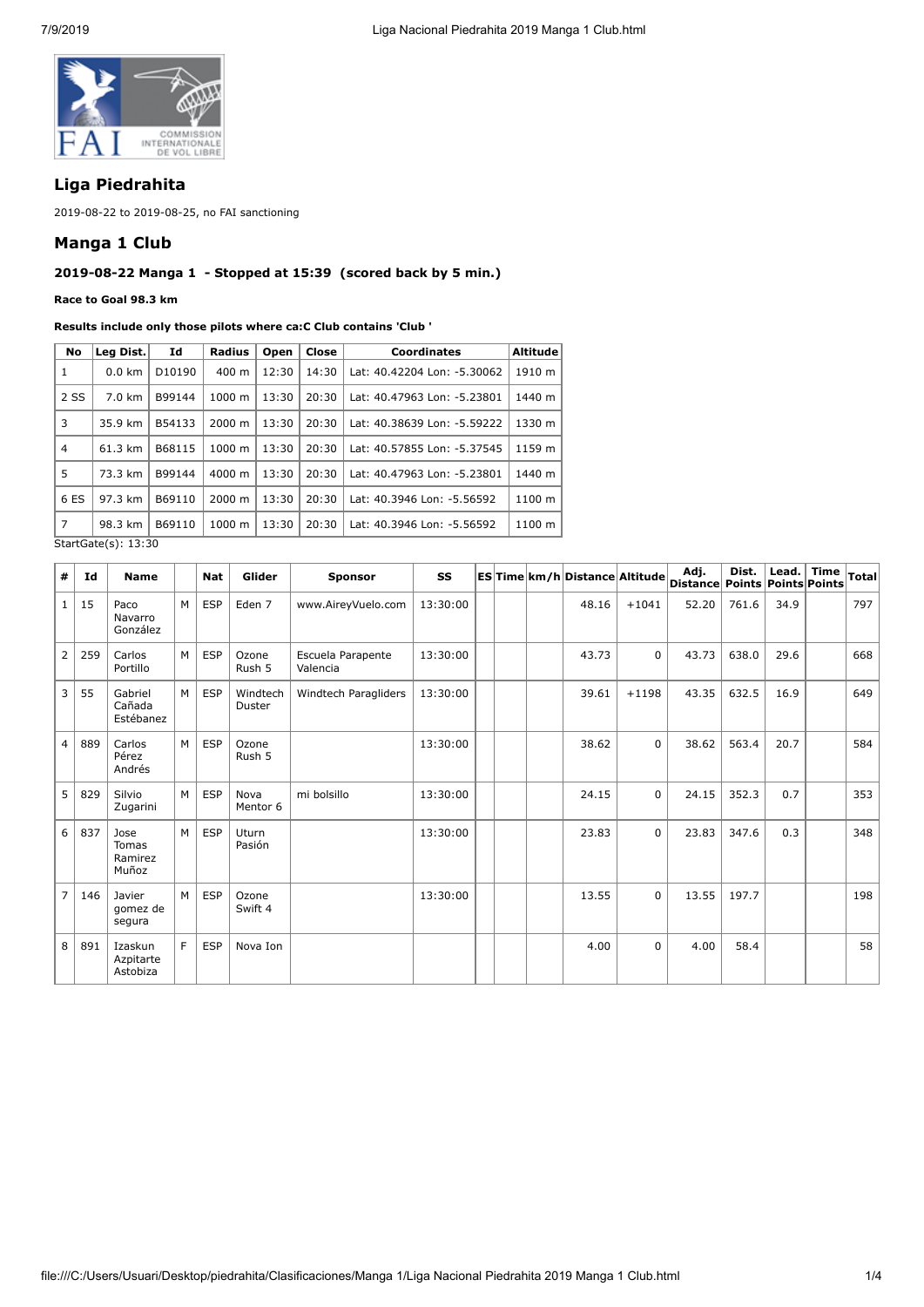

# **Liga Piedrahita**

2019-08-22 to 2019-08-25, no FAI sanctioning

### **Manga 1 Club**

## **2019-08-22 Manga 1 - Stopped at 15:39 (scored back by 5 min.)**

#### **Race to Goal 98.3 km**

**Results include only those pilots where ca:C Club contains 'Club '**

| No                         | Leg Dist.        | Id                 | <b>Radius</b>      | Open  | Close | Coordinates                 | <b>Altitude</b> |  |
|----------------------------|------------------|--------------------|--------------------|-------|-------|-----------------------------|-----------------|--|
| 1                          | $0.0 \text{ km}$ | D <sub>10190</sub> | $400 \text{ m}$    | 12:30 | 14:30 | Lat: 40.42204 Lon: -5.30062 | 1910 m          |  |
| 2 SS                       | 7.0 km           | B99144             | $1000 \; \text{m}$ | 13:30 | 20:30 | Lat: 40.47963 Lon: -5.23801 | 1440 m          |  |
| 3                          | 35.9 km          | B54133             | $2000 \; \text{m}$ | 13:30 | 20:30 | Lat: 40.38639 Lon: -5.59222 | 1330 m          |  |
| 4                          | 61.3 km          | B68115             | 1000 m             | 13:30 | 20:30 | Lat: 40.57855 Lon: -5.37545 | 1159 m          |  |
| 5                          | 73.3 km          | B99144             | 4000 m             | 13:30 | 20:30 | Lat: 40.47963 Lon: -5.23801 | 1440 m          |  |
| 6 ES                       | 97.3 km          | B69110             | $2000 \; \text{m}$ | 13:30 | 20:30 | Lat: 40.3946 Lon: -5.56592  | 1100 m          |  |
| 7                          | 98.3 km          | B69110             | $1000 \; \text{m}$ | 13:30 | 20:30 | Lat: 40.3946 Lon: -5.56592  | 1100 m          |  |
| $StartGate(s) \cdot 13.30$ |                  |                    |                    |       |       |                             |                 |  |

| StartGate(s): 13:30 |  |
|---------------------|--|
|                     |  |

| #              | Id  | <b>Name</b>                       |     | <b>Nat</b> | Glider             | <b>Sponsor</b>                | <b>SS</b> |  | ES Time km/h Distance Altitude |             | Adj.<br><b>Distance Points</b> | Dist. | Lead.<br><b>Points Points</b> | <b>Time</b> | <b>Total</b> |
|----------------|-----|-----------------------------------|-----|------------|--------------------|-------------------------------|-----------|--|--------------------------------|-------------|--------------------------------|-------|-------------------------------|-------------|--------------|
| $\mathbf{1}$   | 15  | Paco<br>Navarro<br>González       | M   | <b>ESP</b> | Eden 7             | www.AireyVuelo.com            | 13:30:00  |  | 48.16                          | $+1041$     | 52.20                          | 761.6 | 34.9                          |             | 797          |
| $\overline{2}$ | 259 | Carlos<br>Portillo                | M I | <b>ESP</b> | Ozone<br>Rush 5    | Escuela Parapente<br>Valencia | 13:30:00  |  | 43.73                          | $\Omega$    | 43.73                          | 638.0 | 29.6                          |             | 668          |
| 3              | 55  | Gabriel<br>Cañada<br>Estébanez    | M   | <b>ESP</b> | Windtech<br>Duster | Windtech Paragliders          | 13:30:00  |  | 39.61                          | $+1198$     | 43.35                          | 632.5 | 16.9                          |             | 649          |
| $\overline{4}$ | 889 | Carlos<br>Pérez<br>Andrés         | M   | <b>ESP</b> | Ozone<br>Rush 5    |                               | 13:30:00  |  | 38.62                          | $\Omega$    | 38.62                          | 563.4 | 20.7                          |             | 584          |
| 5              | 829 | Silvio<br>Zugarini                | M   | <b>ESP</b> | Nova<br>Mentor 6   | mi bolsillo                   | 13:30:00  |  | 24.15                          | $\Omega$    | 24.15                          | 352.3 | 0.7                           |             | 353          |
| 6              | 837 | Jose<br>Tomas<br>Ramirez<br>Muñoz | M   | <b>ESP</b> | Uturn<br>Pasión    |                               | 13:30:00  |  | 23.83                          | $\mathbf 0$ | 23.83                          | 347.6 | 0.3                           |             | 348          |
| $\overline{7}$ | 146 | Javier<br>gomez de<br>segura      | M   | <b>ESP</b> | Ozone<br>Swift 4   |                               | 13:30:00  |  | 13.55                          | $\mathbf 0$ | 13.55                          | 197.7 |                               |             | 198          |
| 8              | 891 | Izaskun<br>Azpitarte<br>Astobiza  | E   | <b>ESP</b> | Nova Ion           |                               |           |  | 4.00                           | $\mathbf 0$ | 4.00                           | 58.4  |                               |             | 58           |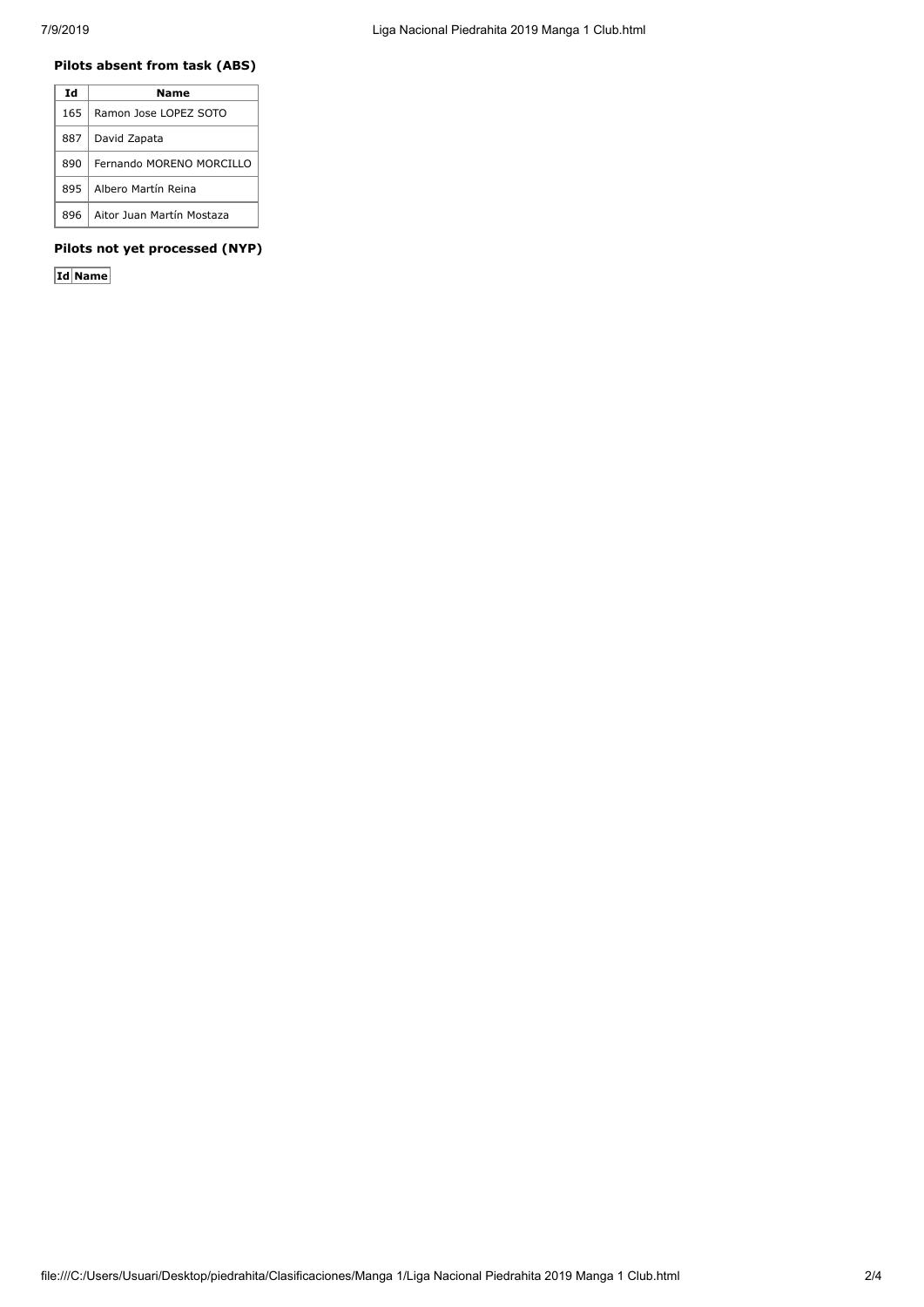#### **Pilots absent from task (ABS)**

| Ιd   | Name                      |
|------|---------------------------|
| 165. | Ramon Jose LOPEZ SOTO     |
| 887  | David Zapata              |
| 890  | Fernando MORENO MORCILLO  |
| 895  | Albero Martín Reina       |
| 896  | Aitor Juan Martín Mostaza |

## **Pilots not yet processed (NYP)**

**Id Name**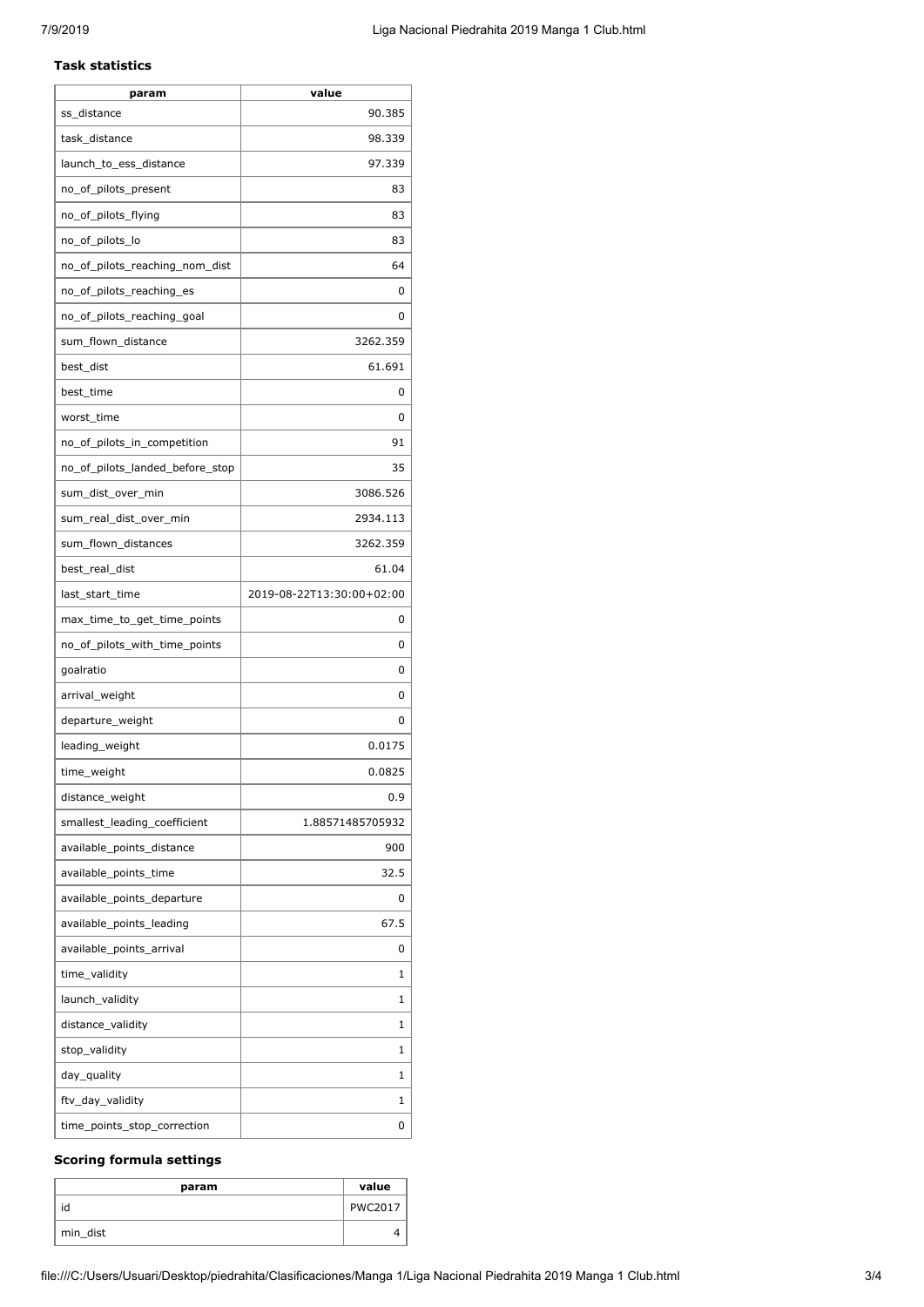#### **Task statistics**

| param                           | value                     |
|---------------------------------|---------------------------|
| ss_distance                     | 90.385                    |
| task_distance                   | 98.339                    |
| launch_to_ess_distance          | 97.339                    |
| no_of_pilots_present            | 83                        |
| no_of_pilots_flying             | 83                        |
| no_of_pilots_lo                 | 83                        |
| no_of_pilots_reaching_nom_dist  | 64                        |
| no_of_pilots_reaching_es        | 0                         |
| no_of_pilots_reaching_goal      | 0                         |
| sum_flown_distance              | 3262.359                  |
| best_dist                       | 61.691                    |
| best_time                       | 0                         |
| worst_time                      | 0                         |
| no_of_pilots_in_competition     | 91                        |
| no_of_pilots_landed_before_stop | 35                        |
| sum_dist_over_min               | 3086.526                  |
| sum_real_dist_over_min          | 2934.113                  |
| sum_flown_distances             | 3262.359                  |
| best_real_dist                  | 61.04                     |
| last_start_time                 | 2019-08-22T13:30:00+02:00 |
| max_time_to_get_time_points     | 0                         |
| no_of_pilots_with_time_points   | 0                         |
| goalratio                       | 0                         |
| arrival_weight                  | 0                         |
| departure_weight                | 0                         |
| leading_weight                  | 0.0175                    |
| time_weight                     | 0.0825                    |
| distance_weight                 | 0.9                       |
| smallest_leading_coefficient    | 1.88571485705932          |
| available_points_distance       | 900                       |
| available_points_time           | 32.5                      |
| available_points_departure      | 0                         |
| available_points_leading        | 67.5                      |
| available_points_arrival        | 0                         |
| time_validity                   | 1                         |
| launch_validity                 | 1                         |
| distance_validity               | 1                         |
| stop_validity                   | 1                         |
| day_quality                     | 1                         |
| ftv_day_validity                | 1                         |
| time_points_stop_correction     | 0                         |
|                                 |                           |

## **Scoring formula settings**

| param    | value          |
|----------|----------------|
|          | <b>PWC2017</b> |
| min_dist |                |